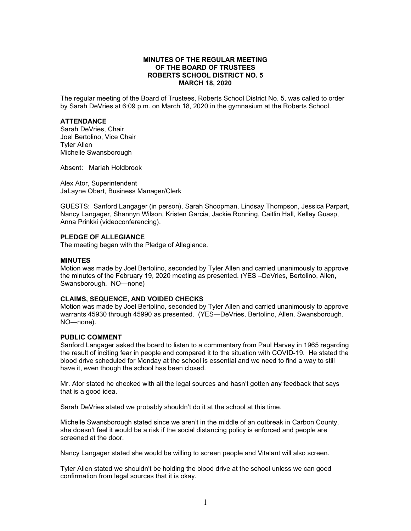# **MINUTES OF THE REGULAR MEETING OF THE BOARD OF TRUSTEES ROBERTS SCHOOL DISTRICT NO. 5 MARCH 18, 2020**

The regular meeting of the Board of Trustees, Roberts School District No. 5, was called to order by Sarah DeVries at 6:09 p.m. on March 18, 2020 in the gymnasium at the Roberts School.

## **ATTENDANCE**

Sarah DeVries, Chair Joel Bertolino, Vice Chair Tyler Allen Michelle Swansborough

Absent: Mariah Holdbrook

Alex Ator, Superintendent JaLayne Obert, Business Manager/Clerk

GUESTS: Sanford Langager (in person), Sarah Shoopman, Lindsay Thompson, Jessica Parpart, Nancy Langager, Shannyn Wilson, Kristen Garcia, Jackie Ronning, Caitlin Hall, Kelley Guasp, Anna Prinkki (videoconferencing).

## **PLEDGE OF ALLEGIANCE**

The meeting began with the Pledge of Allegiance.

#### **MINUTES**

Motion was made by Joel Bertolino, seconded by Tyler Allen and carried unanimously to approve the minutes of the February 19, 2020 meeting as presented. (YES –DeVries, Bertolino, Allen, Swansborough. NO—none)

#### **CLAIMS, SEQUENCE, AND VOIDED CHECKS**

Motion was made by Joel Bertolino, seconded by Tyler Allen and carried unanimously to approve warrants 45930 through 45990 as presented. (YES—DeVries, Bertolino, Allen, Swansborough. NO—none).

#### **PUBLIC COMMENT**

Sanford Langager asked the board to listen to a commentary from Paul Harvey in 1965 regarding the result of inciting fear in people and compared it to the situation with COVID-19. He stated the blood drive scheduled for Monday at the school is essential and we need to find a way to still have it, even though the school has been closed.

Mr. Ator stated he checked with all the legal sources and hasn't gotten any feedback that says that is a good idea.

Sarah DeVries stated we probably shouldn't do it at the school at this time.

Michelle Swansborough stated since we aren't in the middle of an outbreak in Carbon County, she doesn't feel it would be a risk if the social distancing policy is enforced and people are screened at the door.

Nancy Langager stated she would be willing to screen people and Vitalant will also screen.

Tyler Allen stated we shouldn't be holding the blood drive at the school unless we can good confirmation from legal sources that it is okay.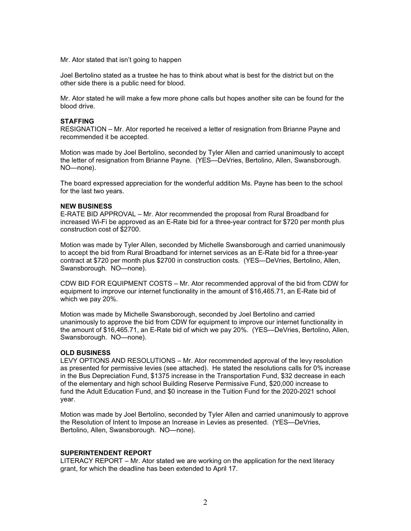Mr. Ator stated that isn't going to happen

Joel Bertolino stated as a trustee he has to think about what is best for the district but on the other side there is a public need for blood.

Mr. Ator stated he will make a few more phone calls but hopes another site can be found for the blood drive.

# **STAFFING**

RESIGNATION – Mr. Ator reported he received a letter of resignation from Brianne Payne and recommended it be accepted.

Motion was made by Joel Bertolino, seconded by Tyler Allen and carried unanimously to accept the letter of resignation from Brianne Payne. (YES—DeVries, Bertolino, Allen, Swansborough. NO—none).

The board expressed appreciation for the wonderful addition Ms. Payne has been to the school for the last two years.

## **NEW BUSINESS**

E-RATE BID APPROVAL – Mr. Ator recommended the proposal from Rural Broadband for increased Wi-Fi be approved as an E-Rate bid for a three-year contract for \$720 per month plus construction cost of \$2700.

Motion was made by Tyler Allen, seconded by Michelle Swansborough and carried unanimously to accept the bid from Rural Broadband for internet services as an E-Rate bid for a three-year contract at \$720 per month plus \$2700 in construction costs. (YES—DeVries, Bertolino, Allen, Swansborough. NO—none).

CDW BID FOR EQUIPMENT COSTS – Mr. Ator recommended approval of the bid from CDW for equipment to improve our internet functionality in the amount of \$16,465.71, an E-Rate bid of which we pay 20%.

Motion was made by Michelle Swansborough, seconded by Joel Bertolino and carried unanimously to approve the bid from CDW for equipment to improve our internet functionality in the amount of \$16,465.71, an E-Rate bid of which we pay 20%. (YES—DeVries, Bertolino, Allen, Swansborough. NO—none).

#### **OLD BUSINESS**

LEVY OPTIONS AND RESOLUTIONS – Mr. Ator recommended approval of the levy resolution as presented for permissive levies (see attached). He stated the resolutions calls for 0% increase in the Bus Depreciation Fund, \$1375 increase in the Transportation Fund, \$32 decrease in each of the elementary and high school Building Reserve Permissive Fund, \$20,000 increase to fund the Adult Education Fund, and \$0 increase in the Tuition Fund for the 2020-2021 school year.

Motion was made by Joel Bertolino, seconded by Tyler Allen and carried unanimously to approve the Resolution of Intent to Impose an Increase in Levies as presented. (YES—DeVries, Bertolino, Allen, Swansborough. NO—none).

#### **SUPERINTENDENT REPORT**

LITERACY REPORT – Mr. Ator stated we are working on the application for the next literacy grant, for which the deadline has been extended to April 17.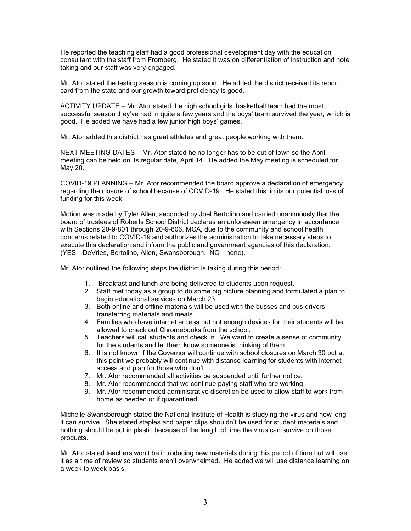He reported the teaching staff had a good professional development day with the education consultant with the staff from Fromberg. He stated it was on differentiation of instruction and note taking and our staff was very engaged.

Mr. Ator stated the testing season is coming up soon. He added the district received its report card from the state and our growth toward proficiency is good.

ACTIVITY UPDATE – Mr. Ator stated the high school girls' basketball team had the most successful season they've had in quite a few years and the boys' team survived the year, which is good. He added we have had a few junior high boys' games.

Mr. Ator added this district has great athletes and great people working with them.

NEXT MEETING DATES – Mr. Ator stated he no longer has to be out of town so the April meeting can be held on its regular date, April 14. He added the May meeting is scheduled for May 20.

COVID-19 PLANNING – Mr. Ator recommended the board approve a declaration of emergency regarding the closure of school because of COVID-19. He stated this limits our potential loss of funding for this week.

Motion was made by Tyler Allen, seconded by Joel Bertolino and carried unanimously that the board of trustees of Roberts School District declares an unforeseen emergency in accordance with Sections 20-9-801 through 20-9-806, MCA, due to the community and school health concerns related to COVID-19 and authorizes the administration to take necessary steps to execute this declaration and inform the public and government agencies of this declaration. (YES—DeVries, Bertolino, Allen, Swansborough. NO—none).

Mr. Ator outlined the following steps the district is taking during this period:

- 1. Breakfast and lunch are being delivered to students upon request.
- 2. Staff met today as a group to do some big picture planning and formulated a plan to begin educational services on March 23
- 3. Both online and offline materials will be used with the busses and bus drivers transferring materials and meals
- 4. Families who have internet access but not enough devices for their students will be allowed to check out Chromebooks from the school.
- 5. Teachers will call students and check in. We want to create a sense of community for the students and let them know someone is thinking of them.
- 6. It is not known if the Governor will continue with school closures on March 30 but at this point we probably will continue with distance learning for students with internet access and plan for those who don't.
- 7. Mr. Ator recommended all activities be suspended until further notice.
- 8. Mr. Ator recommended that we continue paying staff who are working.
- 9. Mr. Ator recommended administrative discretion be used to allow staff to work from home as needed or if quarantined.

Michelle Swansborough stated the National Institute of Health is studying the virus and how long it can survive. She stated staples and paper clips shouldn't be used for student materials and nothing should be put in plastic because of the length of time the virus can survive on those products.

Mr. Ator stated teachers won't be introducing new materials during this period of time but will use it as a time of review so students aren't overwhelmed. He added we will use distance learning on a week to week basis.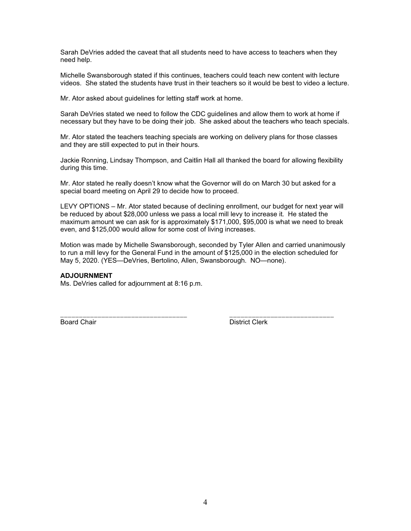Sarah DeVries added the caveat that all students need to have access to teachers when they need help.

Michelle Swansborough stated if this continues, teachers could teach new content with lecture videos. She stated the students have trust in their teachers so it would be best to video a lecture.

Mr. Ator asked about guidelines for letting staff work at home.

Sarah DeVries stated we need to follow the CDC guidelines and allow them to work at home if necessary but they have to be doing their job. She asked about the teachers who teach specials.

Mr. Ator stated the teachers teaching specials are working on delivery plans for those classes and they are still expected to put in their hours.

Jackie Ronning, Lindsay Thompson, and Caitlin Hall all thanked the board for allowing flexibility during this time.

Mr. Ator stated he really doesn't know what the Governor will do on March 30 but asked for a special board meeting on April 29 to decide how to proceed.

LEVY OPTIONS – Mr. Ator stated because of declining enrollment, our budget for next year will be reduced by about \$28,000 unless we pass a local mill levy to increase it. He stated the maximum amount we can ask for is approximately \$171,000, \$95,000 is what we need to break even, and \$125,000 would allow for some cost of living increases.

Motion was made by Michelle Swansborough, seconded by Tyler Allen and carried unanimously to run a mill levy for the General Fund in the amount of \$125,000 in the election scheduled for May 5, 2020. (YES—DeVries, Bertolino, Allen, Swansborough. NO—none).

## **ADJOURNMENT**

Ms. DeVries called for adjournment at 8:16 p.m.

\_\_\_\_\_\_\_\_\_\_\_\_\_\_\_\_\_\_\_\_\_\_\_\_\_\_\_\_\_\_\_\_\_\_ \_\_\_\_\_\_\_\_\_\_\_\_\_\_\_\_\_\_\_\_\_\_\_\_\_\_\_\_ <u>Board Chair</u> National Chair Chair District Clerk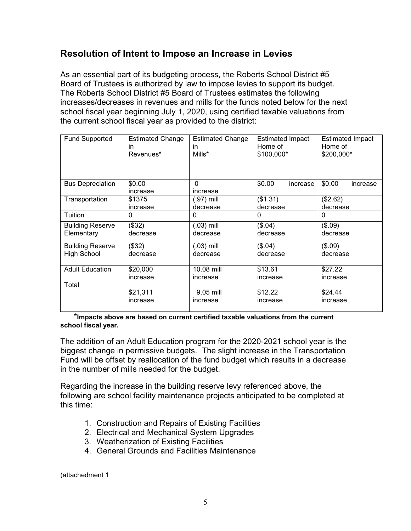# **Resolution of Intent to Impose an Increase in Levies**

As an essential part of its budgeting process, the Roberts School District #5 Board of Trustees is authorized by law to impose levies to support its budget. The Roberts School District #5 Board of Trustees estimates the following increases/decreases in revenues and mills for the funds noted below for the next school fiscal year beginning July 1, 2020, using certified taxable valuations from the current school fiscal year as provided to the district:

| <b>Fund Supported</b>   | <b>Estimated Change</b><br>in.<br>Revenues* | <b>Estimated Change</b><br>in<br>Mills* | <b>Estimated Impact</b><br>Home of<br>\$100,000* | <b>Estimated Impact</b><br>Home of<br>\$200,000* |
|-------------------------|---------------------------------------------|-----------------------------------------|--------------------------------------------------|--------------------------------------------------|
| <b>Bus Depreciation</b> | \$0.00<br>increase                          | $\Omega$<br>increase                    | \$0.00<br>increase                               | \$0.00<br>increase                               |
| Transportation          | \$1375                                      | (.97) mill                              | (\$1.31)                                         | (\$2.62)                                         |
|                         | increase                                    | decrease                                | decrease                                         | decrease                                         |
| Tuition                 | 0                                           | 0                                       | 0                                                | 0                                                |
| <b>Building Reserve</b> | (\$32)                                      | $(.03)$ mill                            | (\$.04)                                          | (\$.09)                                          |
| Elementary              | decrease                                    | decrease                                | decrease                                         | decrease                                         |
| <b>Building Reserve</b> | (\$32)                                      | $(.03)$ mill                            | (\$.04)                                          | (\$.09)                                          |
| <b>High School</b>      | decrease                                    | decrease                                | decrease                                         | decrease                                         |
| <b>Adult Education</b>  | \$20,000                                    | 10.08 mill                              | \$13.61                                          | \$27.22                                          |
|                         | increase                                    | increase                                | increase                                         | increase                                         |
| Total                   |                                             |                                         |                                                  |                                                  |
|                         | \$21,311                                    | 9.05 mill                               | \$12.22                                          | \$24.44                                          |
|                         | increase                                    | increase                                | increase                                         | increase                                         |
|                         |                                             |                                         |                                                  |                                                  |

 \***Impacts above are based on current certified taxable valuations from the current school fiscal year.**

The addition of an Adult Education program for the 2020-2021 school year is the biggest change in permissive budgets. The slight increase in the Transportation Fund will be offset by reallocation of the fund budget which results in a decrease in the number of mills needed for the budget.

Regarding the increase in the building reserve levy referenced above, the following are school facility maintenance projects anticipated to be completed at this time:

- 1. Construction and Repairs of Existing Facilities
- 2. Electrical and Mechanical System Upgrades
- 3. Weatherization of Existing Facilities
- 4. General Grounds and Facilities Maintenance

(attachedment 1